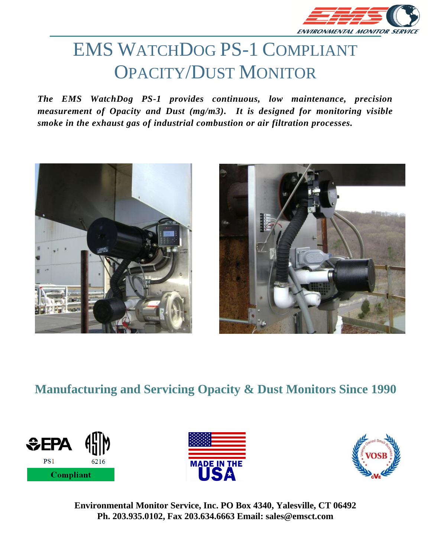

# EMS WATCHDOG PS-1 COMPLIANT OPACITY/DUST MONITOR

*The EMS WatchDog PS-1 provides continuous, low maintenance, precision measurement of Opacity and Dust (mg/m3). It is designed for monitoring visible smoke in the exhaust gas of industrial combustion or air filtration processes.*





### **Manufacturing and Servicing Opacity & Dust Monitors Since 1990**





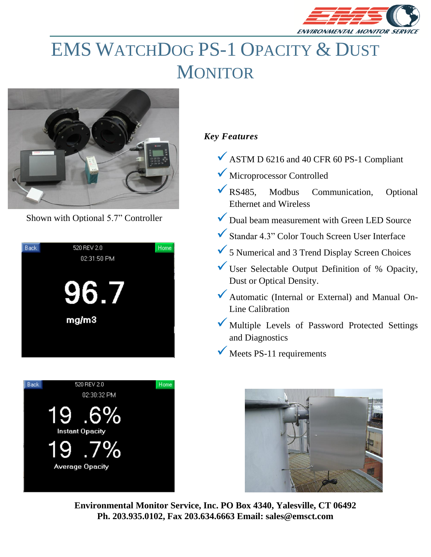

## EMS WATCHDOG PS-1 OPACITY & DUST **MONITOR**



Shown with Optional 5.7" Controller





### *Key Features*

- $\checkmark$  ASTM D 6216 and 40 CFR 60 PS-1 Compliant
- ✓ Microprocessor Controlled
- ✓RS485, Modbus Communication, Optional Ethernet and Wireless
- Dual beam measurement with Green LED Source
- $\checkmark$  Standar 4.3" Color Touch Screen User Interface
- ✓5 Numerical and 3 Trend Display Screen Choices
- $\checkmark$  User Selectable Output Definition of % Opacity, Dust or Optical Density.
- ◆ Automatic (Internal or External) and Manual On-Line Calibration
- Multiple Levels of Password Protected Settings and Diagnostics
- $\checkmark$  Meets PS-11 requirements

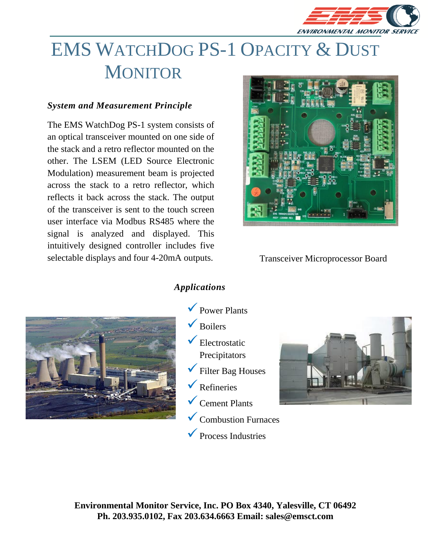

## EMS WATCHDOG PS-1 OPACITY & DUST **MONITOR**

#### *System and Measurement Principle*

The EMS WatchDog PS-1 system consists of an optical transceiver mounted on one side of the stack and a retro reflector mounted on the other. The LSEM (LED Source Electronic Modulation) measurement beam is projected across the stack to a retro reflector, which reflects it back across the stack. The output of the transceiver is sent to the touch screen user interface via Modbus RS485 where the signal is analyzed and displayed. This intuitively designed controller includes five selectable displays and four 4-20mA outputs.



Transceiver Microprocessor Board



#### *Applications*

- $\sqrt{\overline{P}}$  Power Plants  $\sqrt{\overline{Boile}}$  $\checkmark$  Electrostatic Precipitators ✓Filter Bag Houses ✓Refineries  $\checkmark$  Cement Plants
	- ✓Combustion Furnaces

✓Process Industries

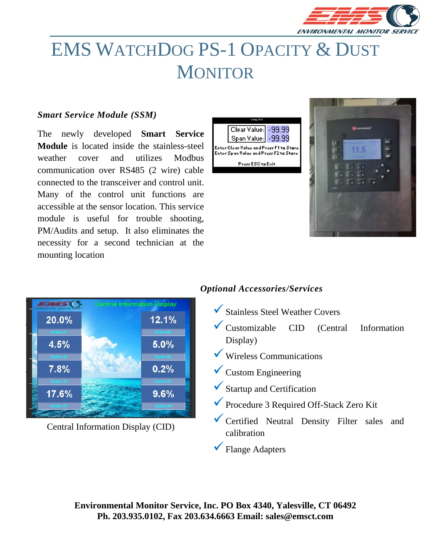

### EMS WATCHDOG PS-1 OPACITY & DUST **MONITOR**

#### *Smart Service Module (SSM)*

The newly developed **Smart Service Module** is located inside the stainless-steel weather cover and utilizes Modbus communication over RS485 (2 wire) cable connected to the transceiver and control unit. Many of the control unit functions are accessible at the sensor location. This service module is useful for trouble shooting, PM/Audits and setup. It also eliminates the necessity for a second technician at the mounting location







Central Information Display (CID)

#### *Optional Accessories/Services*

- ✓Stainless Steel Weather Covers
- ✓Customizable CID (Central Information Display)
- $\checkmark$  Wireless Communications
- $\checkmark$  Custom Engineering
- ✓Startup and Certification
- ✓Procedure 3 Required Off-Stack Zero Kit
- ✓Certified Neutral Density Filter sales and calibration
- $\checkmark$  Flange Adapters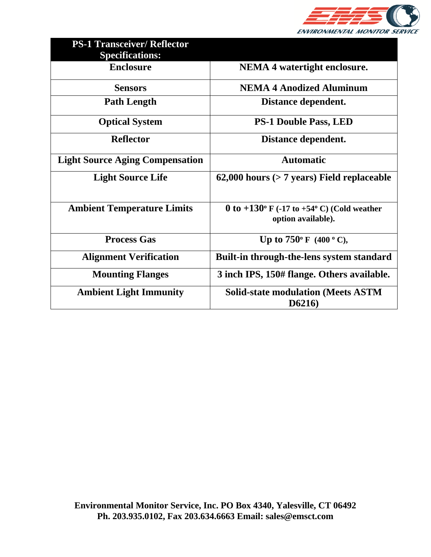

| <b>PS-1 Transceiver/ Reflector</b><br><b>Specifications:</b> |                                                                                    |
|--------------------------------------------------------------|------------------------------------------------------------------------------------|
| <b>Enclosure</b>                                             | <b>NEMA 4 watertight enclosure.</b>                                                |
| <b>Sensors</b>                                               | <b>NEMA 4 Anodized Aluminum</b>                                                    |
| <b>Path Length</b>                                           | Distance dependent.                                                                |
| <b>Optical System</b>                                        | <b>PS-1 Double Pass, LED</b>                                                       |
| <b>Reflector</b>                                             | Distance dependent.                                                                |
| <b>Light Source Aging Compensation</b>                       | <b>Automatic</b>                                                                   |
| <b>Light Source Life</b>                                     | $62,000$ hours ( $> 7$ years) Field replaceable                                    |
|                                                              |                                                                                    |
| <b>Ambient Temperature Limits</b>                            | 0 to $+130^{\circ}$ F (-17 to $+54^{\circ}$ C) (Cold weather<br>option available). |
| <b>Process Gas</b>                                           | Up to $750^{\circ}$ F (400 $^{\circ}$ C),                                          |
| <b>Alignment Verification</b>                                | Built-in through-the-lens system standard                                          |
| <b>Mounting Flanges</b>                                      | 3 inch IPS, 150# flange. Others available.                                         |
| <b>Ambient Light Immunity</b>                                | <b>Solid-state modulation (Meets ASTM</b><br>D6216)                                |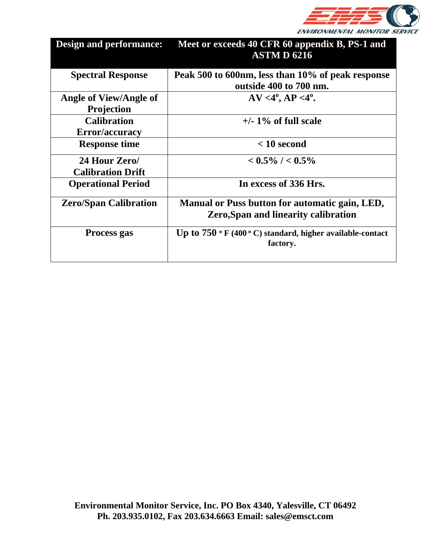

| <b>Design and performance:</b>              | Meet or exceeds 40 CFR 60 appendix B, PS-1 and<br><b>ASTM D 6216</b>                          |
|---------------------------------------------|-----------------------------------------------------------------------------------------------|
| <b>Spectral Response</b>                    | Peak 500 to 600nm, less than 10% of peak response<br>outside 400 to 700 nm.                   |
| Angle of View/Angle of<br><b>Projection</b> | $AV < 4^{\circ}, AP < 4^{\circ}.$                                                             |
| <b>Calibration</b><br>Error/accuracy        | $+/- 1\%$ of full scale                                                                       |
| <b>Response time</b>                        | $< 10$ second                                                                                 |
| 24 Hour Zero/<br><b>Calibration Drift</b>   | $< 0.5\%$ / $< 0.5\%$                                                                         |
| <b>Operational Period</b>                   | In excess of 336 Hrs.                                                                         |
| <b>Zero/Span Calibration</b>                | Manual or Puss button for automatic gain, LED,<br><b>Zero, Span and linearity calibration</b> |
| Process gas                                 | Up to $750 °F$ (400 °C) standard, higher available-contact<br>factory.                        |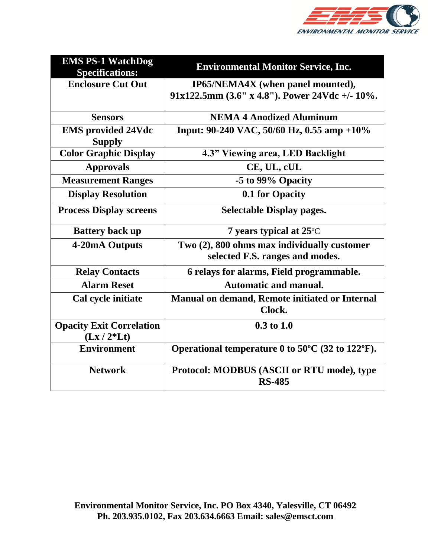

| <b>EMS PS-1 WatchDog</b><br><b>Specifications:</b> | <b>Environmental Monitor Service, Inc.</b>                            |
|----------------------------------------------------|-----------------------------------------------------------------------|
| <b>Enclosure Cut Out</b>                           | IP65/NEMA4X (when panel mounted),                                     |
|                                                    | 91x122.5mm (3.6" x 4.8"). Power 24Vdc +/- 10%.                        |
| <b>Sensors</b>                                     | <b>NEMA 4 Anodized Aluminum</b>                                       |
| <b>EMS</b> provided 24Vdc                          | Input: 90-240 VAC, 50/60 Hz, 0.55 amp +10%                            |
| <b>Supply</b>                                      |                                                                       |
| <b>Color Graphic Display</b>                       | 4.3" Viewing area, LED Backlight                                      |
| <b>Approvals</b>                                   | CE, UL, cUL                                                           |
| <b>Measurement Ranges</b>                          | -5 to 99% Opacity                                                     |
| <b>Display Resolution</b>                          | 0.1 for Opacity                                                       |
| <b>Process Display screens</b>                     | <b>Selectable Display pages.</b>                                      |
| <b>Battery back up</b>                             | 7 years typical at 25 °C                                              |
| 4-20mA Outputs                                     | Two (2), 800 ohms max individually customer                           |
|                                                    | selected F.S. ranges and modes.                                       |
| <b>Relay Contacts</b>                              | 6 relays for alarms, Field programmable.                              |
| <b>Alarm Reset</b>                                 | <b>Automatic and manual.</b>                                          |
| Cal cycle initiate                                 | Manual on demand, Remote initiated or Internal<br>Clock.              |
| <b>Opacity Exit Correlation</b>                    | $0.3 \text{ to } 1.0$                                                 |
| $(Lx / 2*Lt)$                                      |                                                                       |
| <b>Environment</b>                                 | Operational temperature 0 to $50^{\circ}$ C (32 to 122 $^{\circ}$ F). |
| <b>Network</b>                                     | Protocol: MODBUS (ASCII or RTU mode), type<br><b>RS-485</b>           |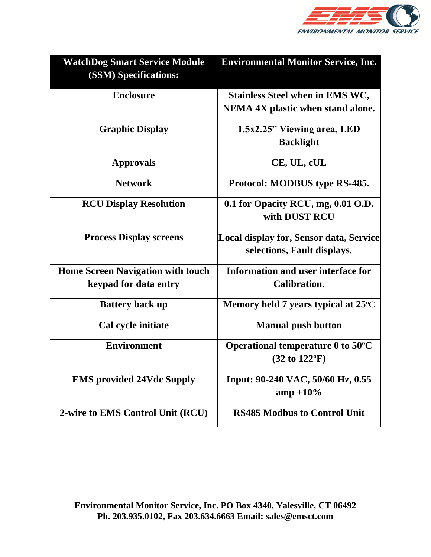

| <b>WatchDog Smart Service Module</b><br><b>(SSM) Specifications:</b> | <b>Environmental Monitor Service, Inc.</b>    |
|----------------------------------------------------------------------|-----------------------------------------------|
| <b>Enclosure</b>                                                     | <b>Stainless Steel when in EMS WC,</b>        |
|                                                                      | NEMA 4X plastic when stand alone.             |
| <b>Graphic Display</b>                                               | 1.5x2.25" Viewing area, LED                   |
|                                                                      | <b>Backlight</b>                              |
| <b>Approvals</b>                                                     | CE, UL, cUL                                   |
| <b>Network</b>                                                       | Protocol: MODBUS type RS-485.                 |
| <b>RCU Display Resolution</b>                                        | 0.1 for Opacity RCU, mg, 0.01 O.D.            |
|                                                                      | with DUST RCU                                 |
| <b>Process Display screens</b>                                       | Local display for, Sensor data, Service       |
|                                                                      | selections, Fault displays.                   |
| <b>Home Screen Navigation with touch</b>                             | <b>Information and user interface for</b>     |
| keypad for data entry                                                | Calibration.                                  |
| <b>Battery back up</b>                                               | Memory held 7 years typical at 25°C           |
| Cal cycle initiate                                                   | <b>Manual push button</b>                     |
| <b>Environment</b>                                                   | Operational temperature $0$ to $50^{\circ}$ C |
|                                                                      | $(32 \text{ to } 122$ <sup>o</sup> F)         |
| <b>EMS</b> provided 24Vdc Supply                                     | Input: 90-240 VAC, 50/60 Hz, 0.55             |
|                                                                      | $amp + 10\%$                                  |
| 2-wire to EMS Control Unit (RCU)                                     | <b>RS485 Modbus to Control Unit</b>           |